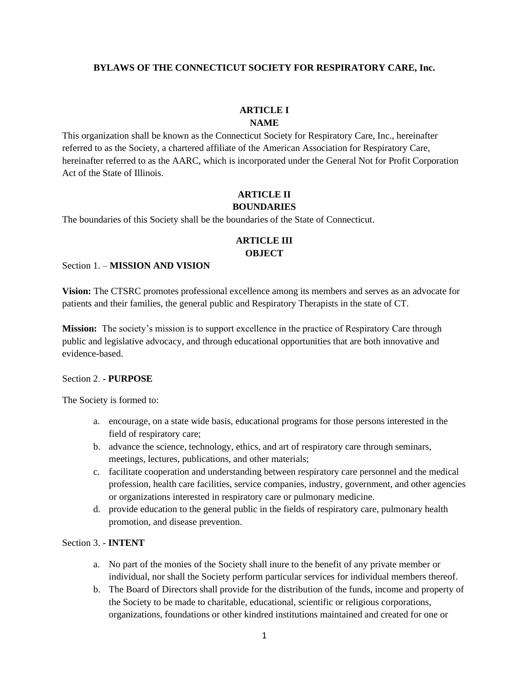#### **BYLAWS OF THE CONNECTICUT SOCIETY FOR RESPIRATORY CARE, Inc.**

#### **ARTICLE I**

#### **NAME**

This organization shall be known as the Connecticut Society for Respiratory Care, Inc., hereinafter referred to as the Society, a chartered affiliate of the American Association for Respiratory Care, hereinafter referred to as the AARC, which is incorporated under the General Not for Profit Corporation Act of the State of Illinois.

### **ARTICLE II BOUNDARIES**

The boundaries of this Society shall be the boundaries of the State of Connecticut.

## **ARTICLE III OBJECT**

#### Section 1. – **MISSION AND VISION**

**Vision:** The CTSRC promotes professional excellence among its members and serves as an advocate for patients and their families, the general public and Respiratory Therapists in the state of CT.

**Mission:** The society's mission is to support excellence in the practice of Respiratory Care through public and legislative advocacy, and through educational opportunities that are both innovative and evidence-based.

#### Section 2. - **PURPOSE**

The Society is formed to:

- a. encourage, on a state wide basis, educational programs for those persons interested in the field of respiratory care;
- b. advance the science, technology, ethics, and art of respiratory care through seminars, meetings, lectures, publications, and other materials;
- c. facilitate cooperation and understanding between respiratory care personnel and the medical profession, health care facilities, service companies, industry, government, and other agencies or organizations interested in respiratory care or pulmonary medicine.
- d. provide education to the general public in the fields of respiratory care, pulmonary health promotion, and disease prevention.

#### Section 3. - **INTENT**

- a. No part of the monies of the Society shall inure to the benefit of any private member or individual, nor shall the Society perform particular services for individual members thereof.
- b. The Board of Directors shall provide for the distribution of the funds, income and property of the Society to be made to charitable, educational, scientific or religious corporations, organizations, foundations or other kindred institutions maintained and created for one or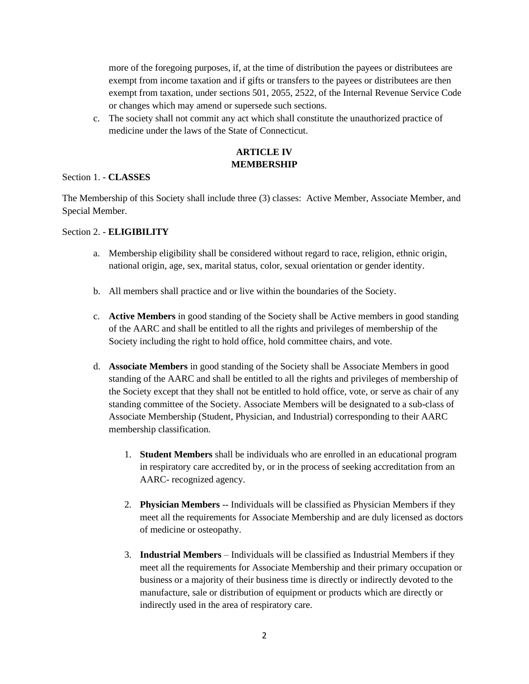more of the foregoing purposes, if, at the time of distribution the payees or distributees are exempt from income taxation and if gifts or transfers to the payees or distributees are then exempt from taxation, under sections 501, 2055, 2522, of the Internal Revenue Service Code or changes which may amend or supersede such sections.

c. The society shall not commit any act which shall constitute the unauthorized practice of medicine under the laws of the State of Connecticut.

## **ARTICLE IV MEMBERSHIP**

#### Section 1. - **CLASSES**

The Membership of this Society shall include three (3) classes: Active Member, Associate Member, and Special Member.

#### Section 2. - **ELIGIBILITY**

- a. Membership eligibility shall be considered without regard to race, religion, ethnic origin, national origin, age, sex, marital status, color, sexual orientation or gender identity.
- b. All members shall practice and or live within the boundaries of the Society.
- c. **Active Members** in good standing of the Society shall be Active members in good standing of the AARC and shall be entitled to all the rights and privileges of membership of the Society including the right to hold office, hold committee chairs, and vote.
- d. **Associate Members** in good standing of the Society shall be Associate Members in good standing of the AARC and shall be entitled to all the rights and privileges of membership of the Society except that they shall not be entitled to hold office, vote, or serve as chair of any standing committee of the Society. Associate Members will be designated to a sub-class of Associate Membership (Student, Physician, and Industrial) corresponding to their AARC membership classification.
	- 1. **Student Members** shall be individuals who are enrolled in an educational program in respiratory care accredited by, or in the process of seeking accreditation from an AARC- recognized agency.
	- 2. **Physician Members** -- Individuals will be classified as Physician Members if they meet all the requirements for Associate Membership and are duly licensed as doctors of medicine or osteopathy.
	- 3. **Industrial Members** Individuals will be classified as Industrial Members if they meet all the requirements for Associate Membership and their primary occupation or business or a majority of their business time is directly or indirectly devoted to the manufacture, sale or distribution of equipment or products which are directly or indirectly used in the area of respiratory care.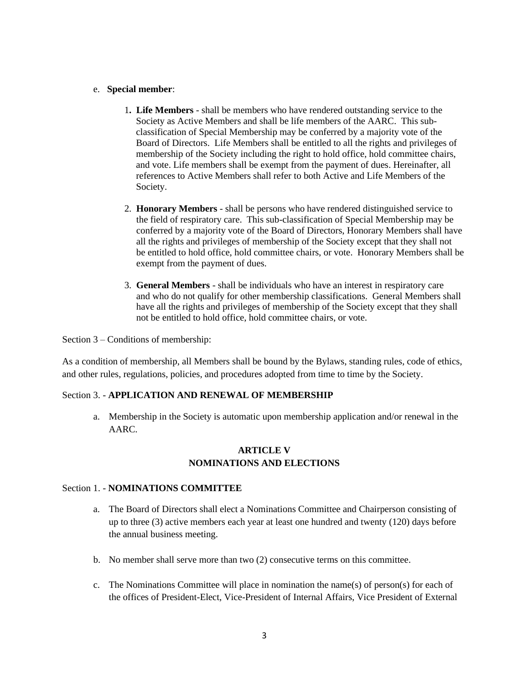#### e. **Special member**:

- 1**. Life Members** shall be members who have rendered outstanding service to the Society as Active Members and shall be life members of the AARC. This subclassification of Special Membership may be conferred by a majority vote of the Board of Directors. Life Members shall be entitled to all the rights and privileges of membership of the Society including the right to hold office, hold committee chairs, and vote. Life members shall be exempt from the payment of dues. Hereinafter, all references to Active Members shall refer to both Active and Life Members of the Society.
- 2. **Honorary Members** shall be persons who have rendered distinguished service to the field of respiratory care. This sub-classification of Special Membership may be conferred by a majority vote of the Board of Directors, Honorary Members shall have all the rights and privileges of membership of the Society except that they shall not be entitled to hold office, hold committee chairs, or vote. Honorary Members shall be exempt from the payment of dues.
- 3. **General Members** shall be individuals who have an interest in respiratory care and who do not qualify for other membership classifications. General Members shall have all the rights and privileges of membership of the Society except that they shall not be entitled to hold office, hold committee chairs, or vote.

Section 3 – Conditions of membership:

As a condition of membership, all Members shall be bound by the Bylaws, standing rules, code of ethics, and other rules, regulations, policies, and procedures adopted from time to time by the Society.

#### Section 3. - **APPLICATION AND RENEWAL OF MEMBERSHIP**

a. Membership in the Society is automatic upon membership application and/or renewal in the AARC.

### **ARTICLE V NOMINATIONS AND ELECTIONS**

#### Section 1. - **NOMINATIONS COMMITTEE**

- a. The Board of Directors shall elect a Nominations Committee and Chairperson consisting of up to three (3) active members each year at least one hundred and twenty (120) days before the annual business meeting.
- b. No member shall serve more than two (2) consecutive terms on this committee.
- c. The Nominations Committee will place in nomination the name(s) of person(s) for each of the offices of President-Elect, Vice-President of Internal Affairs, Vice President of External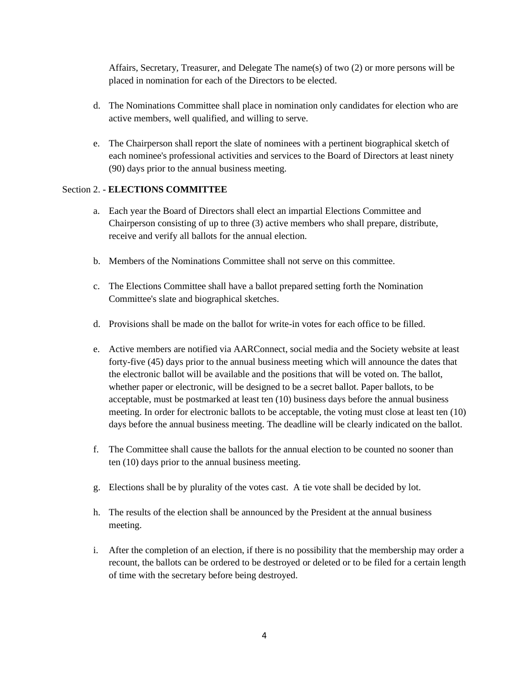Affairs, Secretary, Treasurer, and Delegate The name(s) of two (2) or more persons will be placed in nomination for each of the Directors to be elected.

- d. The Nominations Committee shall place in nomination only candidates for election who are active members, well qualified, and willing to serve.
- e. The Chairperson shall report the slate of nominees with a pertinent biographical sketch of each nominee's professional activities and services to the Board of Directors at least ninety (90) days prior to the annual business meeting.

### Section 2. - **ELECTIONS COMMITTEE**

- a. Each year the Board of Directors shall elect an impartial Elections Committee and Chairperson consisting of up to three (3) active members who shall prepare, distribute, receive and verify all ballots for the annual election.
- b. Members of the Nominations Committee shall not serve on this committee.
- c. The Elections Committee shall have a ballot prepared setting forth the Nomination Committee's slate and biographical sketches.
- d. Provisions shall be made on the ballot for write-in votes for each office to be filled.
- e. Active members are notified via AARConnect, social media and the Society website at least forty-five (45) days prior to the annual business meeting which will announce the dates that the electronic ballot will be available and the positions that will be voted on. The ballot, whether paper or electronic, will be designed to be a secret ballot. Paper ballots, to be acceptable, must be postmarked at least ten (10) business days before the annual business meeting. In order for electronic ballots to be acceptable, the voting must close at least ten (10) days before the annual business meeting. The deadline will be clearly indicated on the ballot.
- f. The Committee shall cause the ballots for the annual election to be counted no sooner than ten (10) days prior to the annual business meeting.
- g. Elections shall be by plurality of the votes cast. A tie vote shall be decided by lot.
- h. The results of the election shall be announced by the President at the annual business meeting.
- i. After the completion of an election, if there is no possibility that the membership may order a recount, the ballots can be ordered to be destroyed or deleted or to be filed for a certain length of time with the secretary before being destroyed.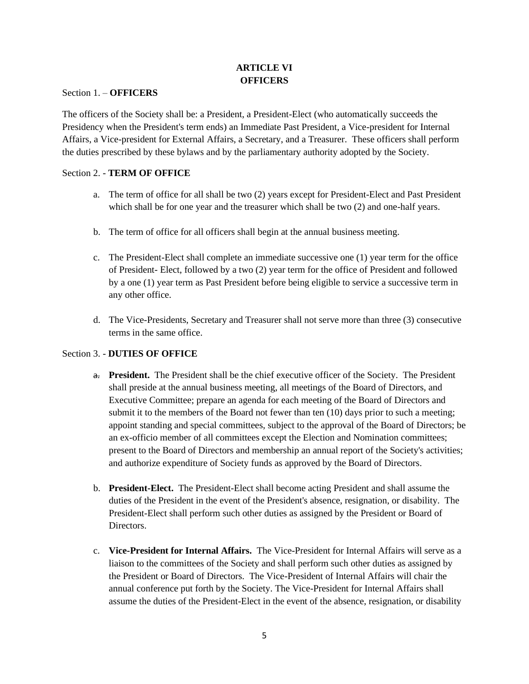## **ARTICLE VI OFFICERS**

#### Section 1. – **OFFICERS**

The officers of the Society shall be: a President, a President-Elect (who automatically succeeds the Presidency when the President's term ends) an Immediate Past President, a Vice-president for Internal Affairs, a Vice-president for External Affairs, a Secretary, and a Treasurer. These officers shall perform the duties prescribed by these bylaws and by the parliamentary authority adopted by the Society.

### Section 2. - **TERM OF OFFICE**

- a. The term of office for all shall be two (2) years except for President-Elect and Past President which shall be for one year and the treasurer which shall be two (2) and one-half years.
- b. The term of office for all officers shall begin at the annual business meeting.
- c. The President-Elect shall complete an immediate successive one (1) year term for the office of President- Elect, followed by a two (2) year term for the office of President and followed by a one (1) year term as Past President before being eligible to service a successive term in any other office.
- d. The Vice-Presidents, Secretary and Treasurer shall not serve more than three (3) consecutive terms in the same office.

## Section 3. - **DUTIES OF OFFICE**

- a. **President.** The President shall be the chief executive officer of the Society. The President shall preside at the annual business meeting, all meetings of the Board of Directors, and Executive Committee; prepare an agenda for each meeting of the Board of Directors and submit it to the members of the Board not fewer than ten (10) days prior to such a meeting; appoint standing and special committees, subject to the approval of the Board of Directors; be an ex-officio member of all committees except the Election and Nomination committees; present to the Board of Directors and membership an annual report of the Society's activities; and authorize expenditure of Society funds as approved by the Board of Directors.
- b. **President-Elect.** The President-Elect shall become acting President and shall assume the duties of the President in the event of the President's absence, resignation, or disability. The President-Elect shall perform such other duties as assigned by the President or Board of Directors.
- c. **Vice-President for Internal Affairs.** The Vice-President for Internal Affairs will serve as a liaison to the committees of the Society and shall perform such other duties as assigned by the President or Board of Directors. The Vice-President of Internal Affairs will chair the annual conference put forth by the Society. The Vice-President for Internal Affairs shall assume the duties of the President-Elect in the event of the absence, resignation, or disability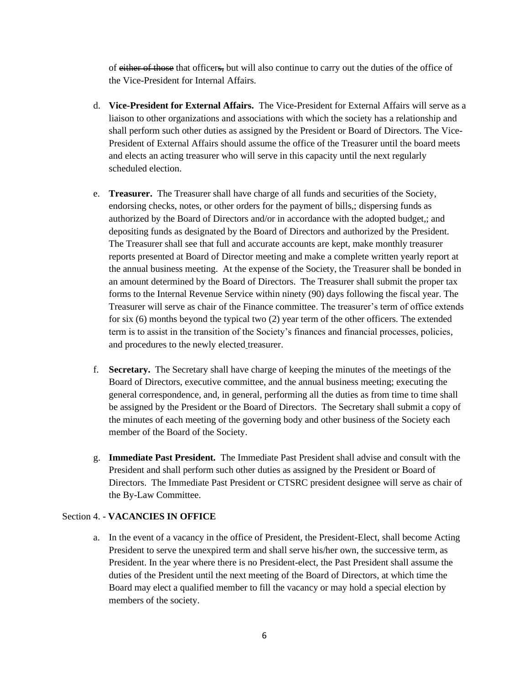of either of those that officers, but will also continue to carry out the duties of the office of the Vice-President for Internal Affairs.

- d. **Vice-President for External Affairs.** The Vice-President for External Affairs will serve as a liaison to other organizations and associations with which the society has a relationship and shall perform such other duties as assigned by the President or Board of Directors. The Vice-President of External Affairs should assume the office of the Treasurer until the board meets and elects an acting treasurer who will serve in this capacity until the next regularly scheduled election.
- e. **Treasurer.** The Treasurer shall have charge of all funds and securities of the Society, endorsing checks, notes, or other orders for the payment of bills,; dispersing funds as authorized by the Board of Directors and/or in accordance with the adopted budget,; and depositing funds as designated by the Board of Directors and authorized by the President. The Treasurer shall see that full and accurate accounts are kept, make monthly treasurer reports presented at Board of Director meeting and make a complete written yearly report at the annual business meeting. At the expense of the Society, the Treasurer shall be bonded in an amount determined by the Board of Directors. The Treasurer shall submit the proper tax forms to the Internal Revenue Service within ninety (90) days following the fiscal year. The Treasurer will serve as chair of the Finance committee. The treasurer's term of office extends for six (6) months beyond the typical two (2) year term of the other officers. The extended term is to assist in the transition of the Society's finances and financial processes, policies, and procedures to the newly elected treasurer.
- f. **Secretary.** The Secretary shall have charge of keeping the minutes of the meetings of the Board of Directors, executive committee, and the annual business meeting; executing the general correspondence, and, in general, performing all the duties as from time to time shall be assigned by the President or the Board of Directors. The Secretary shall submit a copy of the minutes of each meeting of the governing body and other business of the Society each member of the Board of the Society.
- g. **Immediate Past President.** The Immediate Past President shall advise and consult with the President and shall perform such other duties as assigned by the President or Board of Directors. The Immediate Past President or CTSRC president designee will serve as chair of the By-Law Committee.

#### Section 4. - **VACANCIES IN OFFICE**

a. In the event of a vacancy in the office of President, the President-Elect, shall become Acting President to serve the unexpired term and shall serve his/her own, the successive term, as President. In the year where there is no President-elect, the Past President shall assume the duties of the President until the next meeting of the Board of Directors, at which time the Board may elect a qualified member to fill the vacancy or may hold a special election by members of the society.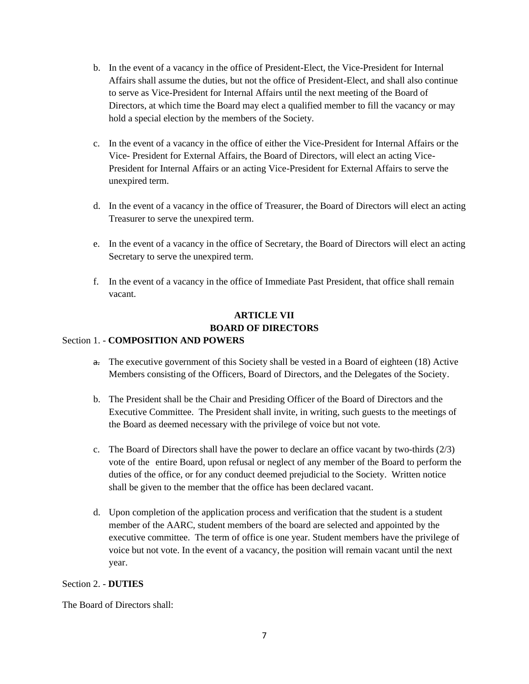- b. In the event of a vacancy in the office of President-Elect, the Vice-President for Internal Affairs shall assume the duties, but not the office of President-Elect, and shall also continue to serve as Vice-President for Internal Affairs until the next meeting of the Board of Directors, at which time the Board may elect a qualified member to fill the vacancy or may hold a special election by the members of the Society.
- c. In the event of a vacancy in the office of either the Vice-President for Internal Affairs or the Vice- President for External Affairs, the Board of Directors, will elect an acting Vice-President for Internal Affairs or an acting Vice-President for External Affairs to serve the unexpired term.
- d. In the event of a vacancy in the office of Treasurer, the Board of Directors will elect an acting Treasurer to serve the unexpired term.
- e. In the event of a vacancy in the office of Secretary, the Board of Directors will elect an acting Secretary to serve the unexpired term.
- f. In the event of a vacancy in the office of Immediate Past President, that office shall remain vacant.

# **ARTICLE VII BOARD OF DIRECTORS**

#### Section 1. - **COMPOSITION AND POWERS**

- a. The executive government of this Society shall be vested in a Board of eighteen (18) Active Members consisting of the Officers, Board of Directors, and the Delegates of the Society.
- b. The President shall be the Chair and Presiding Officer of the Board of Directors and the Executive Committee. The President shall invite, in writing, such guests to the meetings of the Board as deemed necessary with the privilege of voice but not vote.
- c. The Board of Directors shall have the power to declare an office vacant by two-thirds (2/3) vote of the entire Board, upon refusal or neglect of any member of the Board to perform the duties of the office, or for any conduct deemed prejudicial to the Society. Written notice shall be given to the member that the office has been declared vacant.
- d. Upon completion of the application process and verification that the student is a student member of the AARC, student members of the board are selected and appointed by the executive committee. The term of office is one year. Student members have the privilege of voice but not vote. In the event of a vacancy, the position will remain vacant until the next year.

#### Section 2. - **DUTIES**

The Board of Directors shall: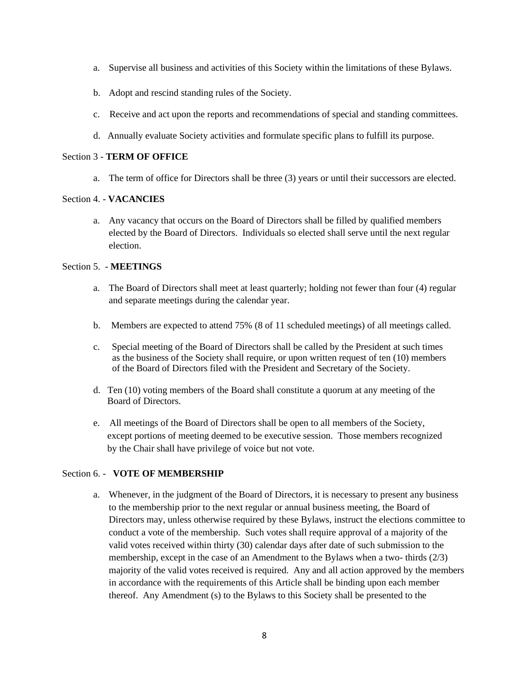- a. Supervise all business and activities of this Society within the limitations of these Bylaws.
- b. Adopt and rescind standing rules of the Society.
- c. Receive and act upon the reports and recommendations of special and standing committees.
- d. Annually evaluate Society activities and formulate specific plans to fulfill its purpose.

### Section 3 - **TERM OF OFFICE**

a. The term of office for Directors shall be three (3) years or until their successors are elected.

### Section 4. - **VACANCIES**

a. Any vacancy that occurs on the Board of Directors shall be filled by qualified members elected by the Board of Directors. Individuals so elected shall serve until the next regular election.

### Section 5. - **MEETINGS**

- a. The Board of Directors shall meet at least quarterly; holding not fewer than four (4) regular and separate meetings during the calendar year.
- b. Members are expected to attend 75% (8 of 11 scheduled meetings) of all meetings called.
- c. Special meeting of the Board of Directors shall be called by the President at such times as the business of the Society shall require, or upon written request of ten (10) members of the Board of Directors filed with the President and Secretary of the Society.
- d. Ten (10) voting members of the Board shall constitute a quorum at any meeting of the Board of Directors.
- e. All meetings of the Board of Directors shall be open to all members of the Society, except portions of meeting deemed to be executive session. Those members recognized by the Chair shall have privilege of voice but not vote.

#### Section 6. - **VOTE OF MEMBERSHIP**

a. Whenever, in the judgment of the Board of Directors, it is necessary to present any business to the membership prior to the next regular or annual business meeting, the Board of Directors may, unless otherwise required by these Bylaws, instruct the elections committee to conduct a vote of the membership. Such votes shall require approval of a majority of the valid votes received within thirty (30) calendar days after date of such submission to the membership, except in the case of an Amendment to the Bylaws when a two- thirds (2/3) majority of the valid votes received is required. Any and all action approved by the members in accordance with the requirements of this Article shall be binding upon each member thereof. Any Amendment (s) to the Bylaws to this Society shall be presented to the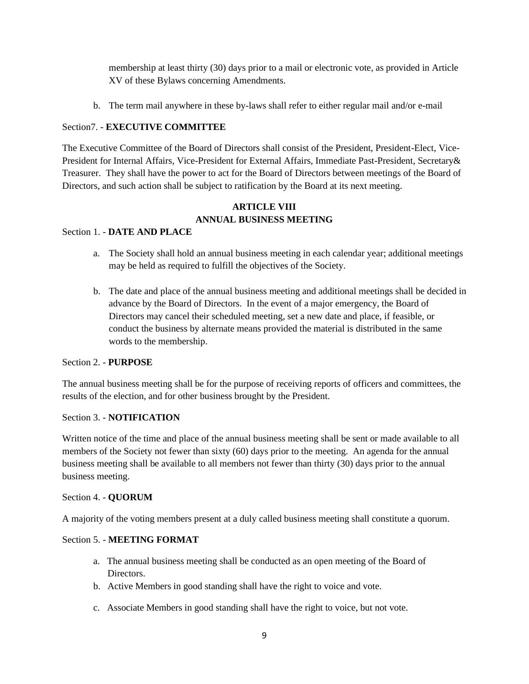membership at least thirty (30) days prior to a mail or electronic vote, as provided in Article XV of these Bylaws concerning Amendments.

b. The term mail anywhere in these by-laws shall refer to either regular mail and/or e-mail

### Section7. - **EXECUTIVE COMMITTEE**

The Executive Committee of the Board of Directors shall consist of the President, President-Elect, Vice-President for Internal Affairs, Vice-President for External Affairs, Immediate Past-President, Secretary& Treasurer. They shall have the power to act for the Board of Directors between meetings of the Board of Directors, and such action shall be subject to ratification by the Board at its next meeting.

## **ARTICLE VIII ANNUAL BUSINESS MEETING**

### Section 1. - **DATE AND PLACE**

- a. The Society shall hold an annual business meeting in each calendar year; additional meetings may be held as required to fulfill the objectives of the Society.
- b. The date and place of the annual business meeting and additional meetings shall be decided in advance by the Board of Directors. In the event of a major emergency, the Board of Directors may cancel their scheduled meeting, set a new date and place, if feasible, or conduct the business by alternate means provided the material is distributed in the same words to the membership.

#### Section 2. - **PURPOSE**

The annual business meeting shall be for the purpose of receiving reports of officers and committees, the results of the election, and for other business brought by the President.

#### Section 3. - **NOTIFICATION**

Written notice of the time and place of the annual business meeting shall be sent or made available to all members of the Society not fewer than sixty (60) days prior to the meeting. An agenda for the annual business meeting shall be available to all members not fewer than thirty (30) days prior to the annual business meeting.

#### Section 4. - **QUORUM**

A majority of the voting members present at a duly called business meeting shall constitute a quorum.

#### Section 5. - **MEETING FORMAT**

- a. The annual business meeting shall be conducted as an open meeting of the Board of Directors.
- b. Active Members in good standing shall have the right to voice and vote.
- c. Associate Members in good standing shall have the right to voice, but not vote.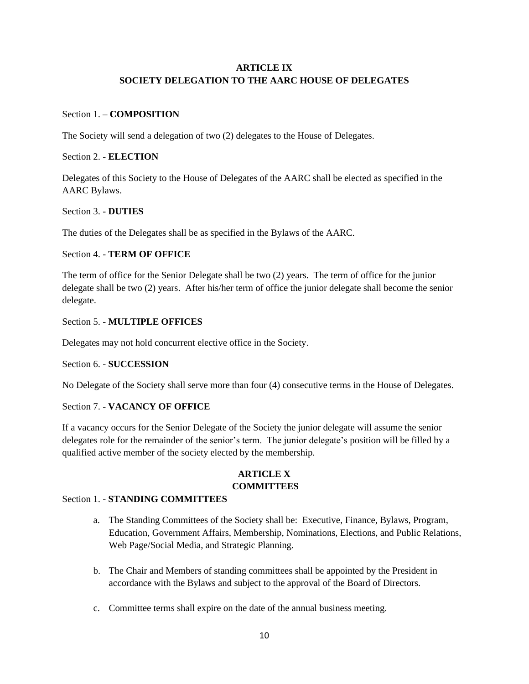## **ARTICLE IX SOCIETY DELEGATION TO THE AARC HOUSE OF DELEGATES**

### Section 1. – **COMPOSITION**

The Society will send a delegation of two (2) delegates to the House of Delegates.

## Section 2. - **ELECTION**

Delegates of this Society to the House of Delegates of the AARC shall be elected as specified in the AARC Bylaws.

### Section 3. - **DUTIES**

The duties of the Delegates shall be as specified in the Bylaws of the AARC.

### Section 4. - **TERM OF OFFICE**

The term of office for the Senior Delegate shall be two (2) years. The term of office for the junior delegate shall be two (2) years. After his/her term of office the junior delegate shall become the senior delegate.

### Section 5. - **MULTIPLE OFFICES**

Delegates may not hold concurrent elective office in the Society.

#### Section 6. - **SUCCESSION**

No Delegate of the Society shall serve more than four (4) consecutive terms in the House of Delegates.

## Section 7. - **VACANCY OF OFFICE**

If a vacancy occurs for the Senior Delegate of the Society the junior delegate will assume the senior delegates role for the remainder of the senior's term. The junior delegate's position will be filled by a qualified active member of the society elected by the membership.

## **ARTICLE X COMMITTEES**

#### Section 1. - **STANDING COMMITTEES**

- a. The Standing Committees of the Society shall be: Executive, Finance, Bylaws, Program, Education, Government Affairs, Membership, Nominations, Elections, and Public Relations, Web Page/Social Media, and Strategic Planning.
- b. The Chair and Members of standing committees shall be appointed by the President in accordance with the Bylaws and subject to the approval of the Board of Directors.
- c. Committee terms shall expire on the date of the annual business meeting.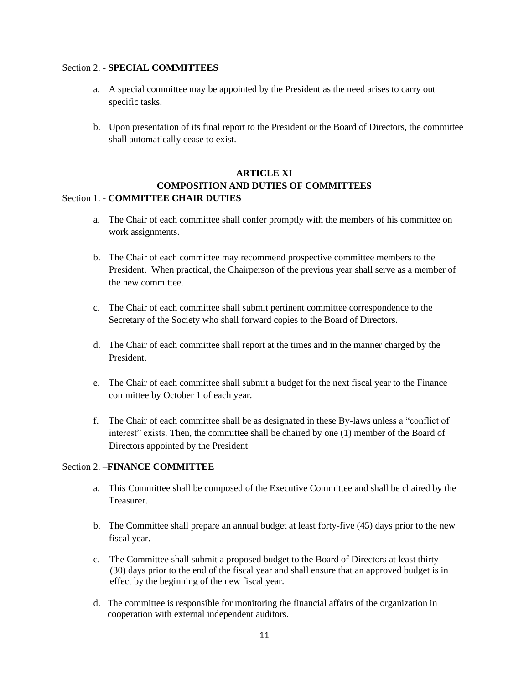#### Section 2. - **SPECIAL COMMITTEES**

- a. A special committee may be appointed by the President as the need arises to carry out specific tasks.
- b. Upon presentation of its final report to the President or the Board of Directors, the committee shall automatically cease to exist.

## **ARTICLE XI COMPOSITION AND DUTIES OF COMMITTEES** Section 1. - **COMMITTEE CHAIR DUTIES**

- a. The Chair of each committee shall confer promptly with the members of his committee on work assignments.
- b. The Chair of each committee may recommend prospective committee members to the President. When practical, the Chairperson of the previous year shall serve as a member of the new committee.
- c. The Chair of each committee shall submit pertinent committee correspondence to the Secretary of the Society who shall forward copies to the Board of Directors.
- d. The Chair of each committee shall report at the times and in the manner charged by the President.
- e. The Chair of each committee shall submit a budget for the next fiscal year to the Finance committee by October 1 of each year.
- f. The Chair of each committee shall be as designated in these By-laws unless a "conflict of interest" exists. Then, the committee shall be chaired by one (1) member of the Board of Directors appointed by the President

#### Section 2. –**FINANCE COMMITTEE**

- a. This Committee shall be composed of the Executive Committee and shall be chaired by the Treasurer.
- b. The Committee shall prepare an annual budget at least forty-five (45) days prior to the new fiscal year.
- c. The Committee shall submit a proposed budget to the Board of Directors at least thirty (30) days prior to the end of the fiscal year and shall ensure that an approved budget is in effect by the beginning of the new fiscal year.
- d. The committee is responsible for monitoring the financial affairs of the organization in cooperation with external independent auditors.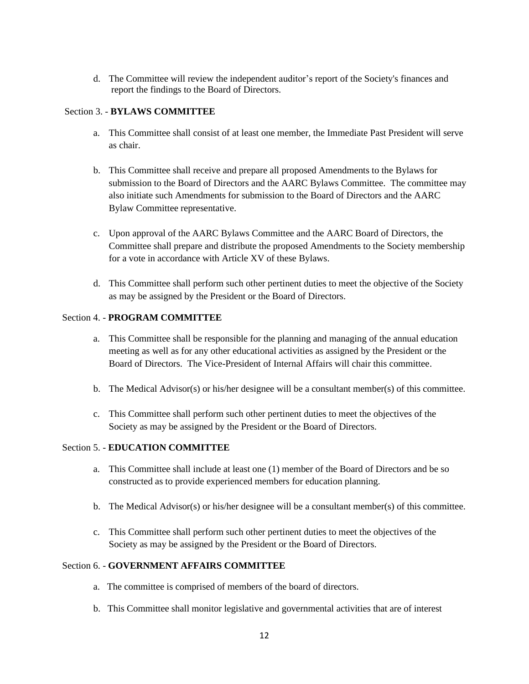d. The Committee will review the independent auditor's report of the Society's finances and report the findings to the Board of Directors.

### Section 3. - **BYLAWS COMMITTEE**

- a. This Committee shall consist of at least one member, the Immediate Past President will serve as chair.
- b. This Committee shall receive and prepare all proposed Amendments to the Bylaws for submission to the Board of Directors and the AARC Bylaws Committee. The committee may also initiate such Amendments for submission to the Board of Directors and the AARC Bylaw Committee representative.
- c. Upon approval of the AARC Bylaws Committee and the AARC Board of Directors, the Committee shall prepare and distribute the proposed Amendments to the Society membership for a vote in accordance with Article XV of these Bylaws.
- d. This Committee shall perform such other pertinent duties to meet the objective of the Society as may be assigned by the President or the Board of Directors.

#### Section 4. - **PROGRAM COMMITTEE**

- a. This Committee shall be responsible for the planning and managing of the annual education meeting as well as for any other educational activities as assigned by the President or the Board of Directors. The Vice-President of Internal Affairs will chair this committee.
- b. The Medical Advisor(s) or his/her designee will be a consultant member(s) of this committee.
- c. This Committee shall perform such other pertinent duties to meet the objectives of the Society as may be assigned by the President or the Board of Directors.

#### Section 5. - **EDUCATION COMMITTEE**

- a. This Committee shall include at least one (1) member of the Board of Directors and be so constructed as to provide experienced members for education planning.
- b. The Medical Advisor(s) or his/her designee will be a consultant member(s) of this committee.
- c. This Committee shall perform such other pertinent duties to meet the objectives of the Society as may be assigned by the President or the Board of Directors.

#### Section 6. - **GOVERNMENT AFFAIRS COMMITTEE**

- a. The committee is comprised of members of the board of directors.
- b. This Committee shall monitor legislative and governmental activities that are of interest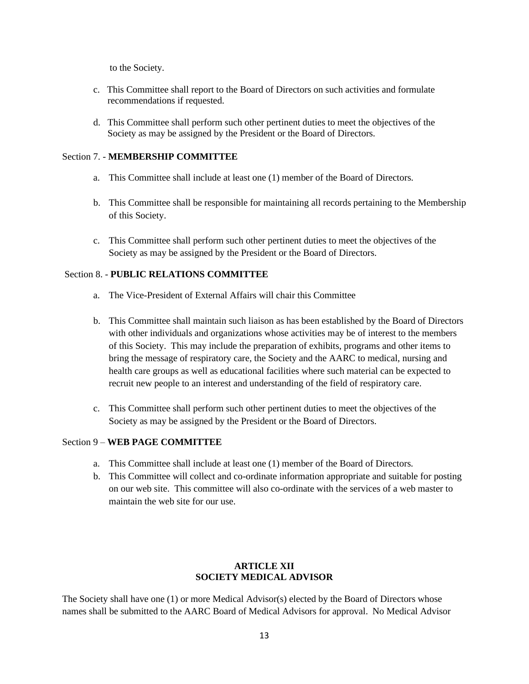to the Society.

- c. This Committee shall report to the Board of Directors on such activities and formulate recommendations if requested.
- d. This Committee shall perform such other pertinent duties to meet the objectives of the Society as may be assigned by the President or the Board of Directors.

#### Section 7. - **MEMBERSHIP COMMITTEE**

- a. This Committee shall include at least one (1) member of the Board of Directors.
- b. This Committee shall be responsible for maintaining all records pertaining to the Membership of this Society.
- c. This Committee shall perform such other pertinent duties to meet the objectives of the Society as may be assigned by the President or the Board of Directors.

#### Section 8. - **PUBLIC RELATIONS COMMITTEE**

- a. The Vice-President of External Affairs will chair this Committee
- b. This Committee shall maintain such liaison as has been established by the Board of Directors with other individuals and organizations whose activities may be of interest to the members of this Society. This may include the preparation of exhibits, programs and other items to bring the message of respiratory care, the Society and the AARC to medical, nursing and health care groups as well as educational facilities where such material can be expected to recruit new people to an interest and understanding of the field of respiratory care.
- c. This Committee shall perform such other pertinent duties to meet the objectives of the Society as may be assigned by the President or the Board of Directors.

### Section 9 – **WEB PAGE COMMITTEE**

- a. This Committee shall include at least one (1) member of the Board of Directors.
- b. This Committee will collect and co-ordinate information appropriate and suitable for posting on our web site. This committee will also co-ordinate with the services of a web master to maintain the web site for our use.

## **ARTICLE XII SOCIETY MEDICAL ADVISOR**

The Society shall have one (1) or more Medical Advisor(s) elected by the Board of Directors whose names shall be submitted to the AARC Board of Medical Advisors for approval. No Medical Advisor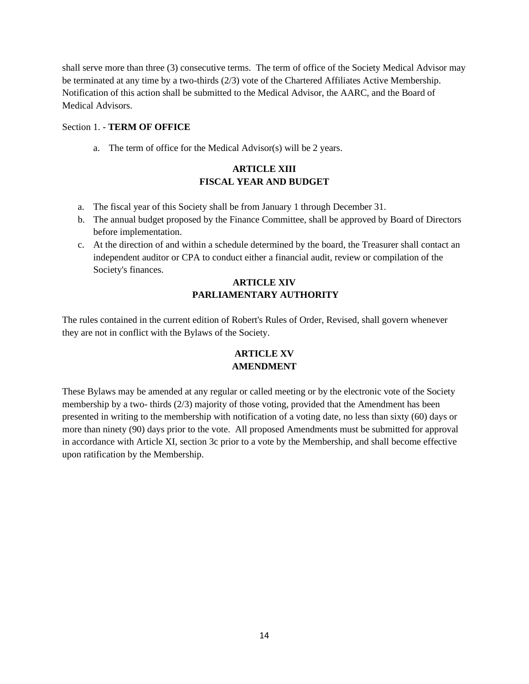shall serve more than three (3) consecutive terms. The term of office of the Society Medical Advisor may be terminated at any time by a two-thirds (2/3) vote of the Chartered Affiliates Active Membership. Notification of this action shall be submitted to the Medical Advisor, the AARC, and the Board of Medical Advisors.

#### Section 1. - **TERM OF OFFICE**

a. The term of office for the Medical Advisor(s) will be 2 years.

## **ARTICLE XIII FISCAL YEAR AND BUDGET**

- a. The fiscal year of this Society shall be from January 1 through December 31.
- b. The annual budget proposed by the Finance Committee, shall be approved by Board of Directors before implementation.
- c. At the direction of and within a schedule determined by the board, the Treasurer shall contact an independent auditor or CPA to conduct either a financial audit, review or compilation of the Society's finances.

## **ARTICLE XIV PARLIAMENTARY AUTHORITY**

The rules contained in the current edition of Robert's Rules of Order, Revised, shall govern whenever they are not in conflict with the Bylaws of the Society.

## **ARTICLE XV AMENDMENT**

These Bylaws may be amended at any regular or called meeting or by the electronic vote of the Society membership by a two- thirds (2/3) majority of those voting, provided that the Amendment has been presented in writing to the membership with notification of a voting date, no less than sixty (60) days or more than ninety (90) days prior to the vote. All proposed Amendments must be submitted for approval in accordance with Article XI, section 3c prior to a vote by the Membership, and shall become effective upon ratification by the Membership.